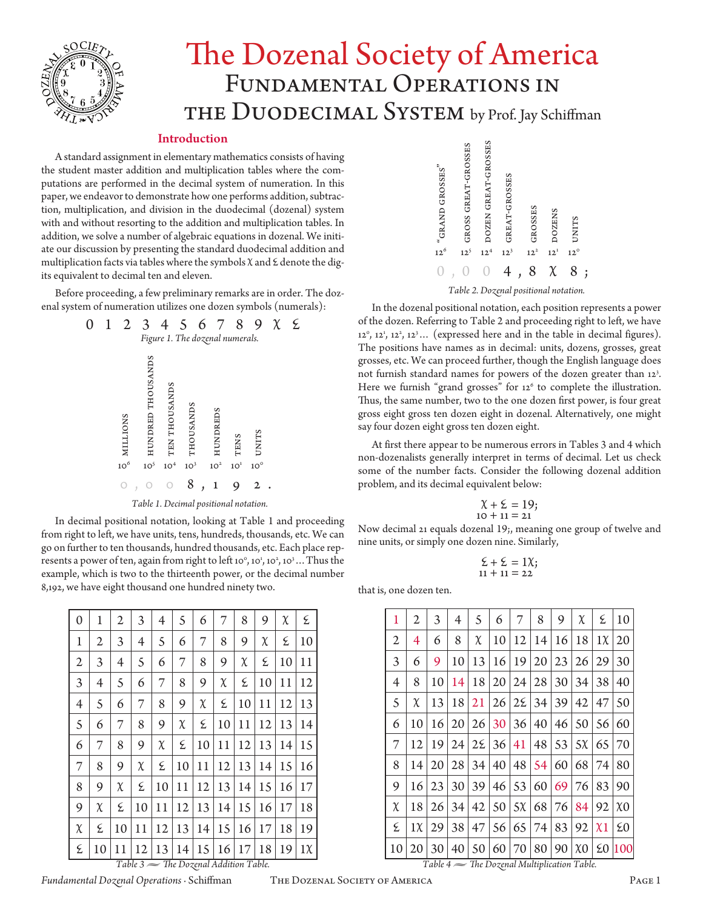

# The Dozenal Society of America Fundamental Operations in THE DUODECIMAL SYSTEM by Prof. Jay Schiffman

# Introduction

A standard assignment in elementary mathematics consists of having the student master addition and multiplication tables where the computations are performed in the decimal system of numeration. In this paper, we endeavor to demonstrate how one performs addition, subtraction, multiplication, and division in the duodecimal (dozenal) system with and without resorting to the addition and multiplication tables. In addition, we solve a number of algebraic equations in dozenal. We initiate our discussion by presenting the standard duodecimal addition and multiplication facts via tables where the symbols  $\chi$  and  $\epsilon$  denote the digits equivalent to decimal ten and eleven.

Before proceeding, a few preliminary remarks are in order. The dozenal system of numeration utilizes one dozen symbols (numerals):



In decimal positional notation, looking at Table 1 and proceeding from right to left, we have units, tens, hundreds, thousands, etc. We can go on further to ten thousands, hundred thousands, etc. Each place represents a power of ten, again from right to left 10°, 10<sup>1</sup>, 10<sup>2</sup>, 10<sup>3</sup>... Thus the example, which is two to the thirteenth power, or the decimal number 8,192, we have eight thousand one hundred ninety two.

| 0                                              | 1              | $\overline{2}$ | 3      | 4      | 5      | 6  | 7      | 8  | 9      | $\chi$ | ٤       |
|------------------------------------------------|----------------|----------------|--------|--------|--------|----|--------|----|--------|--------|---------|
| 1                                              | 2              | 3              | 4      | 5      | 6      | 7  | 8      | 9  | $\chi$ | ٤      | 10      |
| $\mathfrak{2}$                                 | 3              | $\overline{4}$ | 5      | 6      | 7      | 8  | 9      | χ  | ٤      | 10     | 11      |
| 3                                              | $\overline{4}$ | 5              | 6      | 7      | 8      | 9  | $\chi$ | ٤  | 10     | 11     | 12      |
| 4                                              | 5              | 6              | 7      | 8      | 9      | χ  | ٤      | 10 | 11     | 12     | 13      |
| 5                                              | 6              | 7              | 8      | 9      | $\chi$ | ٤  | 10     | 11 | 12     | 13     | 14      |
| 6                                              | 7              | 8              | 9      | $\chi$ | ٤      | 10 | 11     | 12 | 13     | 14     | 15      |
| 7                                              | 8              | 9              | $\chi$ | ٤      | 10     | 11 | 12     | 13 | 14     | 15     | 16      |
| 8                                              | 9              | χ              | ٤      | 10     | 11     | 12 | 13     | 14 | 15     | 16     | 17      |
| 9                                              | $\chi$         | ٤              | 10     | 11     | 12     | 13 | 14     | 15 | 16     | 17     | 18      |
| $\chi$                                         | ٤              | 10             | 11     | 12     | 13     | 14 | 15     | 16 | 17     | 18     | 19      |
| ٤                                              | 10             | 11             | 12     | 13     | 14     | 15 | 16     | 17 | 18     | 19     | $1\chi$ |
| Table $3 \implies$ The Dozenal Addition Table. |                |                |        |        |        |    |        |    |        |        |         |





*Table 2. Dozenal positional notation.*

In the dozenal positional notation, each position represents a power of the dozen. Referring to Table 2 and proceeding right to left, we have  $12^{\circ}$ ,  $12^{\circ}$ ,  $12^{\circ}$ ,  $12^{\circ}$ ... (expressed here and in the table in decimal figures). The positions have names as in decimal: units, dozens, grosses, great grosses, etc. We can proceed further, though the English language does not furnish standard names for powers of the dozen greater than 12<sup>3</sup>. Here we furnish "grand grosses" for 12<sup>6</sup> to complete the illustration. Thus, the same number, two to the one dozen first power, is four great gross eight gross ten dozen eight in dozenal. Alternatively, one might say four dozen eight gross ten dozen eight.

At first there appear to be numerous errors in Tables 3 and 4 which non-dozenalists generally interpret in terms of decimal. Let us check some of the number facts. Consider the following dozenal addition problem, and its decimal equivalent below:

$$
\begin{array}{c}\n\chi + \xi = 19; \\
10 + 11 = 21\n\end{array}
$$

Now decimal 21 equals dozenal 19;, meaning one group of twelve and nine units, or simply one dozen nine. Similarly,

$$
\begin{array}{c}\n \Sigma + \Sigma = 1\chi; \\
 11 + 11 = 22\n \end{array}
$$

that is, one dozen ten.

| 1  | 2       | 3  | 4  | 5               | 6               | 7       | 8  | 9  | χ                   | ٤          | 10                  |
|----|---------|----|----|-----------------|-----------------|---------|----|----|---------------------|------------|---------------------|
| 2  | 4       | 6  | 8  | $\chi$          | 10              | 12      | 14 | 16 | 18                  | $1\chi$    | 20                  |
| 3  | 6       | 9  | 10 | 13              | 16              | 19      | 20 | 23 | 26                  | 29         | 30                  |
| 4  | 8       | 10 | 14 | 18              | 20              | 24      | 28 | 30 | 34                  | 38         | 40                  |
| 5  | χ       | 13 | 18 | 21              | 26 <sup>1</sup> | 28      | 34 | 39 | 42                  | 47         | 50                  |
| 6  | 10      | 16 | 20 | 26 <sup>1</sup> |                 | 30 36   | 40 | 46 | 50                  | 56         | 60                  |
| 7  | 12      | 19 | 24 | $2\mathcal{E}$  | 36              | 41      | 48 | 53 | $5\chi$             | 65         | 70                  |
| 8  | 14      | 20 | 28 | 34              | 40              | 48      | 54 | 60 | 68                  | 74         | 80                  |
| 9  | 16      | 23 | 30 | 39              | 46 <sup>1</sup> | 53      | 60 | 69 | 76                  | 83         | 90                  |
| χ  | 18      | 26 | 34 | 42              | 50              | $5\chi$ | 68 | 76 | 84                  | 92         | $\chi$ <sup>0</sup> |
| ٤  | $1\chi$ | 29 | 38 | 47              | 56              | 65      | 74 | 83 | 92                  | $\chi_1$   | $\Sigma$ 0          |
| 10 | 20      | 30 | 40 | 50              | 60              | 70      | 80 | 90 | $\chi$ <sup>0</sup> | $\Sigma 0$ | 100                 |

*Table 4 • The Dozenal Multiplication Table.*

*Fundamental Dozenal Operations* · Schiffman The Dozenal Society of America Page 1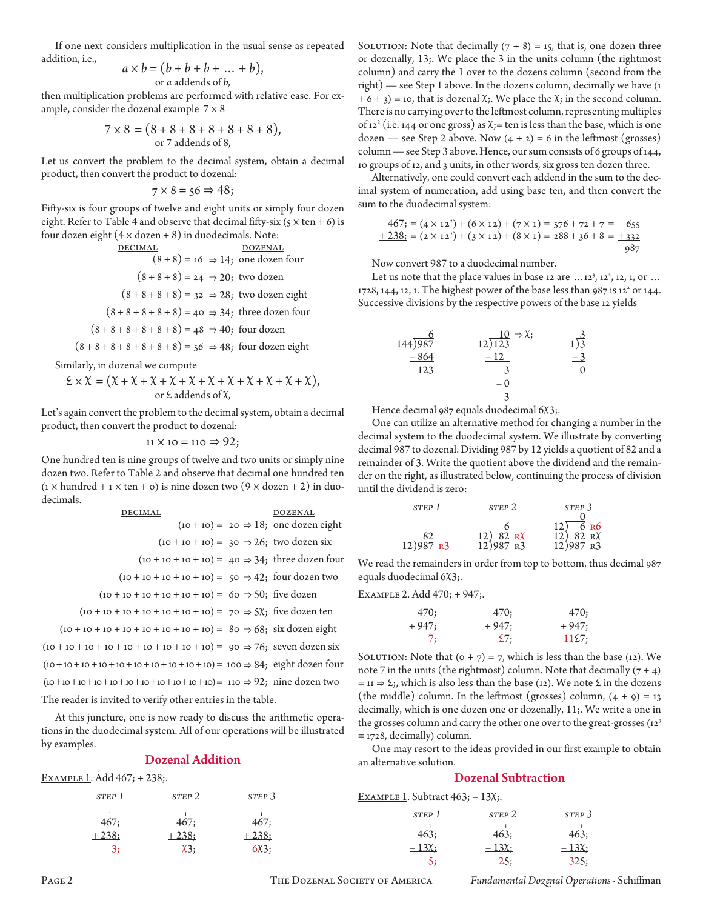If one next considers multiplication in the usual sense as repeated addition, i.e.,

$$
a \times b = (b + b + b + \dots + b),
$$
  
or *a* addends of *b*,

then multiplication problems are performed with relative ease. For example, consider the dozenal example  $7 \times 8$ 

$$
7 \times 8 = (8 + 8 + 8 + 8 + 8 + 8 + 8),
$$
  
or 7 addends of 8,

Let us convert the problem to the decimal system, obtain a decimal product, then convert the product to dozenal:

$$
7 \times 8 = 56 \Rightarrow 48;
$$

Fifty-six is four groups of twelve and eight units or simply four dozen eight. Refer to Table 4 and observe that decimal fifty-six ( $5 \times \tan + 6$ ) is four dozen eight  $(4 \times$  dozen + 8) in duodecimals. Note:

$$
\frac{\text{DECIMAL}}{(8+8) = 16 \Rightarrow 14; \text{ one dozen four}}
$$
\n
$$
(8+8+8) = 24 \Rightarrow 20; \text{ two dozen}
$$
\n
$$
(8+8+8+8) = 32 \Rightarrow 28; \text{ two dozen eight}
$$
\n
$$
(8+8+8+8+8) = 40 \Rightarrow 34; \text{ three dozen four}
$$
\n
$$
(8+8+8+8+8) = 48 \Rightarrow 40; \text{ four dozen}
$$
\n
$$
(8+8+8+8+8+8) = 56 \Rightarrow 48; \text{ four dozen eight}
$$

Similarly, in dozenal we compute

$$
\mathcal{L} \times \mathcal{X} = (\mathcal{X} + \mathcal{X} + \mathcal{X} + \mathcal{X} + \mathcal{X} + \mathcal{X} + \mathcal{X} + \mathcal{X} + \mathcal{X} + \mathcal{X}),
$$
\nor  $\mathcal{E}$  addends of  $\mathcal{X}$ ,

Let's again convert the problem to the decimal system, obtain a decimal product, then convert the product to dozenal:

$$
11 \times 10 = 110 \Rightarrow 92;
$$

One hundred ten is nine groups of twelve and two units or simply nine dozen two. Refer to Table 2 and observe that decimal one hundred ten  $(x \times \text{hundred} + x \times \text{ten} + o)$  is nine dozen two  $(9 \times \text{dozen} + 2)$  in duodecimals.

| <b>DECIMAL</b>                                                                       | DOZENAL |
|--------------------------------------------------------------------------------------|---------|
| $(10 + 10) = 20 \Rightarrow 18$ ; one dozen eight                                    |         |
| $(10 + 10 + 10) = 30 \Rightarrow 26$ ; two dozen six                                 |         |
| $(10 + 10 + 10 + 10) = 40 \Rightarrow 34$ ; three dozen four                         |         |
| $(10 + 10 + 10 + 10 + 10) = 50 \Rightarrow 42$ ; four dozen two                      |         |
| $(10 + 10 + 10 + 10 + 10 + 10) = 60 \Rightarrow 50$ ; five dozen                     |         |
| $(10 + 10 + 10 + 10 + 10 + 10 + 10) = 70 \Rightarrow 5\chi$ ; five dozen ten         |         |
| $(10 + 10 + 10 + 10 + 10 + 10 + 10 + 10) = 80 \Rightarrow 68$ ; six dozen eight      |         |
| $(10 + 10 + 10 + 10 + 10 + 10 + 10 + 10 + 10) = 90 \Rightarrow 76$ ; seven dozen six |         |
| $(10+10+10+10+10+10+10+10+10+10) = 100 \Rightarrow 84$ ; eight dozen four            |         |
| $(10+10+10+10+10+10+10+10+10+10)=110 \Rightarrow 92$ ; nine dozen two                |         |
| The reader is invited to verify other entries in the table.                          |         |

At this juncture, one is now ready to discuss the arithmetic operations in the duodecimal system. All of our operations will be illustrated by examples.

# Dozenal Addition

Example 1. Add 467; + 238;.

| STEP 1  | STEP <sub>2</sub> | STEP <sub>3</sub> |
|---------|-------------------|-------------------|
| 467;    | 467;              | 467;              |
| $+238;$ | $+238;$           | $+238;$           |
|         | $x_3$             | 6X3;              |

SOLUTION: Note that decimally  $(7 + 8) = 15$ , that is, one dozen three or dozenally, 13;. We place the 3 in the units column (the rightmost column) and carry the 1 over to the dozens column (second from the right) — see Step 1 above. In the dozens column, decimally we have (1  $+ 6 + 3$ ) = 10, that is dozenal  $\chi$ ;. We place the  $\chi$ ; in the second column. There is no carrying over to the leftmost column, representing multiples of 12<sup>2</sup> (i.e. 144 or one gross) as  $\chi$ ;= ten is less than the base, which is one dozen — see Step 2 above. Now  $(4 + 2) = 6$  in the leftmost (grosses) column — see Step 3 above. Hence, our sum consists of 6 groups of 144, 10 groups of 12, and 3 units, in other words, six gross ten dozen three.

Alternatively, one could convert each addend in the sum to the decimal system of numeration, add using base ten, and then convert the sum to the duodecimal system:

$$
467; = (4 \times 12^{2}) + (6 \times 12) + (7 \times 1) = 576 + 72 + 7 = 655
$$
  

$$
+ 238; = (2 \times 12^{2}) + (3 \times 12) + (8 \times 1) = 288 + 36 + 8 = 432
$$
  

$$
987
$$

Now convert 987 to a duodecimal number.

Let us note that the place values in base 12 are  $\dots$ 12<sup>3</sup>, 12<sup>2</sup>, 12, 1, or  $\dots$ 1728, 144, 12, 1. The highest power of the base less than 987 is 12<sup>2</sup> or 144. Successive divisions by the respective powers of the base 12 yields

 6 10 a; 3 144)987 12)123 1)3 – 864 – 12  – 3 123 3 0 – 0 3

Hence decimal 987 equals duodecimal 6X3;.

One can utilize an alternative method for changing a number in the decimal system to the duodecimal system. We illustrate by converting decimal 987 to dozenal. Dividing 987 by 12 yields a quotient of 82 and a remainder of 3. Write the quotient above the dividend and the remainder on the right, as illustrated below, continuing the process of division until the dividend is zero:

| STEP 1                              | STEP <sub>2</sub>                     | STEP <sub>3</sub>                   |
|-------------------------------------|---------------------------------------|-------------------------------------|
|                                     |                                       |                                     |
|                                     |                                       | 6 R6                                |
| $\frac{82}{12}$ $\frac{82}{987}$ R3 | $\frac{12\sqrt{82}}{12\sqrt{987}}$ RX | $\frac{12}{12}$ $\frac{82}{987}$ RX |
|                                     |                                       |                                     |

We read the remainders in order from top to bottom, thus decimal 987 equals duodecimal 6X3;.

# Example 2. Add 470; + 947;.

| 470;    | 470;    | 470;    |
|---------|---------|---------|
| $+947:$ | $+947:$ | $+947:$ |
| 7:      | 27:     | 1127:   |

SOLUTION: Note that  $(0 + 7) = 7$ , which is less than the base (12). We note 7 in the units (the rightmost) column. Note that decimally  $(7 + 4)$  $=$  11  $\Rightarrow$   $\&$ ;, which is also less than the base (12). We note  $\&$  in the dozens (the middle) column. In the leftmost (grosses) column,  $(4 + 9) = 13$ decimally, which is one dozen one or dozenally, 11;. We write a one in the grosses column and carry the other one over to the great-grosses (12<sup>3</sup>)  $=$  1728, decimally) column.

One may resort to the ideas provided in our first example to obtain an alternative solution.

#### Dozenal Subtraction

| EXAMPLE 1. Subtract $463$ ; $-13X$ ;. |  |  |
|---------------------------------------|--|--|
|---------------------------------------|--|--|

 $-13\chi$ ;

| STEP 1 | STEP <sub>2</sub> | STEP <sub>3</sub> |
|--------|-------------------|-------------------|
| 463;   | 463;              | 463;              |
| - 13χ; | $-13\chi$         | $-13\chi$         |
| 5:     | 25:               | 325:              |

Page 2 The Dozenal Society of America *Fundamental Dozenal Operations* · Schiffman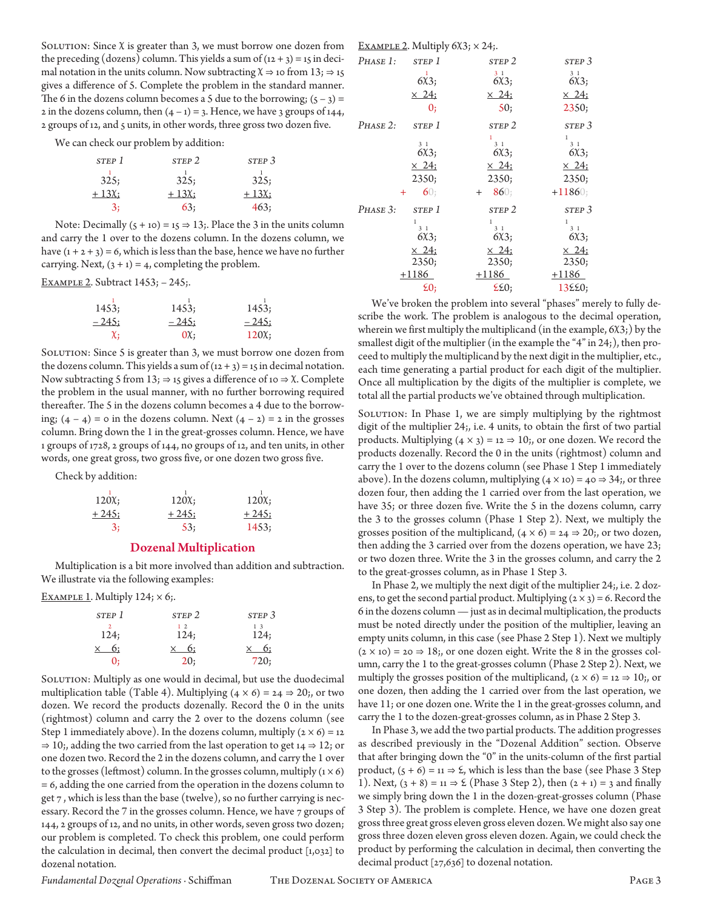SOLUTION: Since  $\chi$  is greater than 3, we must borrow one dozen from the preceding (dozens) column. This yields a sum of  $(12 + 3) = 15$  in decimal notation in the units column. Now subtracting  $\chi \Rightarrow$  10 from 13;  $\Rightarrow$  15 gives a difference of 5. Complete the problem in the standard manner. The 6 in the dozens column becomes a 5 due to the borrowing;  $(5 - 3) =$ 2 in the dozens column, then  $(4 - 1) = 3$ . Hence, we have 3 groups of 144, 2 groups of 12, and 5 units, in other words, three gross two dozen five.

We can check our problem by addition:

| STEP 1    | STEP <sub>2</sub> | STEP <sub>3</sub> |
|-----------|-------------------|-------------------|
| 325:      | 325:              | 325;              |
| $+13\chi$ | $+13\chi$         | $+13\chi$         |
|           | 63;               | 463:              |

Note: Decimally  $(5 + 10) = 15 \Rightarrow 13$ ;. Place the 3 in the units column and carry the 1 over to the dozens column. In the dozens column, we have  $(1 + 2 + 3) = 6$ , which is less than the base, hence we have no further carrying. Next,  $(3 + 1) = 4$ , completing the problem.

Example 2. Subtract 1453; – 245;.

| 1453;          | 1453;   | 1453;   |
|----------------|---------|---------|
| <u>– 245;</u>  | $-245:$ | $-245:$ |
| $\chi_{\rm i}$ | 0x:     | 120X    |

SOLUTION: Since 5 is greater than 3, we must borrow one dozen from the dozens column. This yields a sum of  $(12 + 3) = 15$  in decimal notation. Now subtracting 5 from 13;  $\Rightarrow$  15 gives a difference of 10  $\Rightarrow$  X. Complete the problem in the usual manner, with no further borrowing required thereafter. The 5 in the dozens column becomes a 4 due to the borrowing;  $(4 - 4) = 0$  in the dozens column. Next  $(4 - 2) = 2$  in the grosses column. Bring down the 1 in the great-grosses column. Hence, we have 1 groups of 1728, 2 groups of 144, no groups of 12, and ten units, in other words, one great gross, two gross five, or one dozen two gross five.

Check by addition:

| 120X    | 120X    | 120X;   |
|---------|---------|---------|
| $+245;$ | $+245:$ | $+245;$ |
| -3:     | 53;     | 1453;   |

## Dozenal Multiplication

Multiplication is a bit more involved than addition and subtraction. We illustrate via the following examples:

EXAMPLE 1. Multiply  $124$ ;  $\times$  6;.

| STEP 1         | STEP <sub>2</sub> | STEP <sub>3</sub>  |
|----------------|-------------------|--------------------|
| 124;           | $1\,2$<br>124;    | $\frac{13}{124}$ ; |
| 6:<br>$\times$ | $\times$ 6;       | $\times$ 6:        |
| 0:             | 20:               | 720;               |

SOLUTION: Multiply as one would in decimal, but use the duodecimal multiplication table (Table 4). Multiplying  $(4 \times 6) = 24 \Rightarrow 20$ ;, or two dozen. We record the products dozenally. Record the 0 in the units (rightmost) column and carry the 2 over to the dozens column (see Step 1 immediately above). In the dozens column, multiply  $(2 \times 6) = 12$  $\Rightarrow$  10;, adding the two carried from the last operation to get 14  $\Rightarrow$  12; or one dozen two. Record the 2 in the dozens column, and carry the 1 over to the grosses (leftmost) column. In the grosses column, multiply  $(1 \times 6)$ = 6, adding the one carried from the operation in the dozens column to get 7 , which is less than the base (twelve), so no further carrying is necessary. Record the 7 in the grosses column. Hence, we have 7 groups of 144, 2 groups of 12, and no units, in other words, seven gross two dozen; our problem is completed. To check this problem, one could perform the calculation in decimal, then convert the decimal product [1,032] to dozenal notation.

EXAMPLE 2. Multiply  $6x3$ ;  $\times$  24;.

| PHASE 1:   | STEP 1                    | STEP <sub>2</sub>      | STEP <sub>3</sub>              |
|------------|---------------------------|------------------------|--------------------------------|
|            | $\mathbf{1}$<br>6X3;      | 3 <sub>1</sub><br>6X3; | 3 <sub>1</sub><br>6X3;         |
|            | $\times$ 24;              | $\times$ 24;           | $\times$ 24;                   |
|            | 0;                        | 50;                    | 2350;                          |
| $PHASE$ 2: | STEP 1                    | STEP <sub>2</sub>      | STEP <sub>3</sub>              |
|            | 3 <sub>1</sub>            | 3 <sub>1</sub>         | $\mathbf{1}$<br>3 <sub>1</sub> |
|            | 6X3;                      | 6X3;                   | 6X3;                           |
|            | $\times$ 24;              | $\times$ 24;           | $\times$ 24;                   |
|            | 2350;                     | 2350;                  | 2350;                          |
|            | 60:<br>$\ddot{}$          | 860:<br>$^{+}$         | $+11860;$                      |
| PHASE 3:   | STEP 1                    | STEP <sub>2</sub>      | STEP <sub>3</sub>              |
|            | 1<br>3 <sub>1</sub>       | 1<br>3 <sub>1</sub>    | $\mathbf{1}$<br>3 <sub>1</sub> |
|            | 6X3;                      | 6X3;                   | 6X3;                           |
|            | $\times$ 24:              | $\times$ 24:           | $\times$ 24:                   |
|            | 2350;                     | 2350;                  | 2350;                          |
|            | $+1186$                   | $+1186$                | $+1186$                        |
|            | $\epsilon$ <sub>0</sub> ; | $E\Omega$              | 13220;                         |

We've broken the problem into several "phases" merely to fully describe the work. The problem is analogous to the decimal operation, wherein we first multiply the multiplicand (in the example,  $6\chi$ 3;) by the smallest digit of the multiplier (in the example the "4" in 24;), then proceed to multiply the multiplicand by the next digit in the multiplier, etc., each time generating a partial product for each digit of the multiplier. Once all multiplication by the digits of the multiplier is complete, we total all the partial products we've obtained through multiplication.

SOLUTION: In Phase 1, we are simply multiplying by the rightmost digit of the multiplier 24;, i.e. 4 units, to obtain the first of two partial products. Multiplying  $(4 \times 3) = 12 \Rightarrow 10$ ;, or one dozen. We record the products dozenally. Record the 0 in the units (rightmost) column and carry the 1 over to the dozens column (see Phase 1 Step 1 immediately above). In the dozens column, multiplying  $(4 \times 10) = 40 \Rightarrow 34$ ;, or three dozen four, then adding the 1 carried over from the last operation, we have 35; or three dozen five. Write the 5 in the dozens column, carry the 3 to the grosses column (Phase 1 Step 2). Next, we multiply the grosses position of the multiplicand,  $(4 \times 6) = 24 \Rightarrow 20$ ;, or two dozen, then adding the 3 carried over from the dozens operation, we have 23; or two dozen three. Write the 3 in the grosses column, and carry the 2 to the great-grosses column, as in Phase 1 Step 3.

In Phase 2, we multiply the next digit of the multiplier 24;, i.e. 2 dozens, to get the second partial product. Multiplying  $(2 \times 3) = 6$ . Record the 6 in the dozens column — just as in decimal multiplication, the products must be noted directly under the position of the multiplier, leaving an empty units column, in this case (see Phase 2 Step 1). Next we multiply  $(2 \times 10) = 20 \Rightarrow 18$ ; or one dozen eight. Write the 8 in the grosses column, carry the 1 to the great-grosses column (Phase 2 Step 2). Next, we multiply the grosses position of the multiplicand,  $(2 \times 6) = 12 \Rightarrow 10$ ; or one dozen, then adding the 1 carried over from the last operation, we have 11; or one dozen one. Write the 1 in the great-grosses column, and carry the 1 to the dozen-great-grosses column, as in Phase 2 Step 3.

In Phase 3, we add the two partial products. The addition progresses as described previously in the "Dozenal Addition" section. Observe that after bringing down the "0" in the units-column of the first partial product,  $(5 + 6) = 11 \Rightarrow 2$ , which is less than the base (see Phase 3 Step 1). Next,  $(3 + 8) = 11 \Rightarrow 2$  (Phase 3 Step 2), then  $(2 + 1) = 3$  and finally we simply bring down the 1 in the dozen-great-grosses column (Phase 3 Step 3). The problem is complete. Hence, we have one dozen great gross three great gross eleven gross eleven dozen. We might also say one gross three dozen eleven gross eleven dozen. Again, we could check the product by performing the calculation in decimal, then converting the decimal product [27,636] to dozenal notation.

*Fundamental Dozenal Operations* · Schiffman The Dozenal Society of America Page 3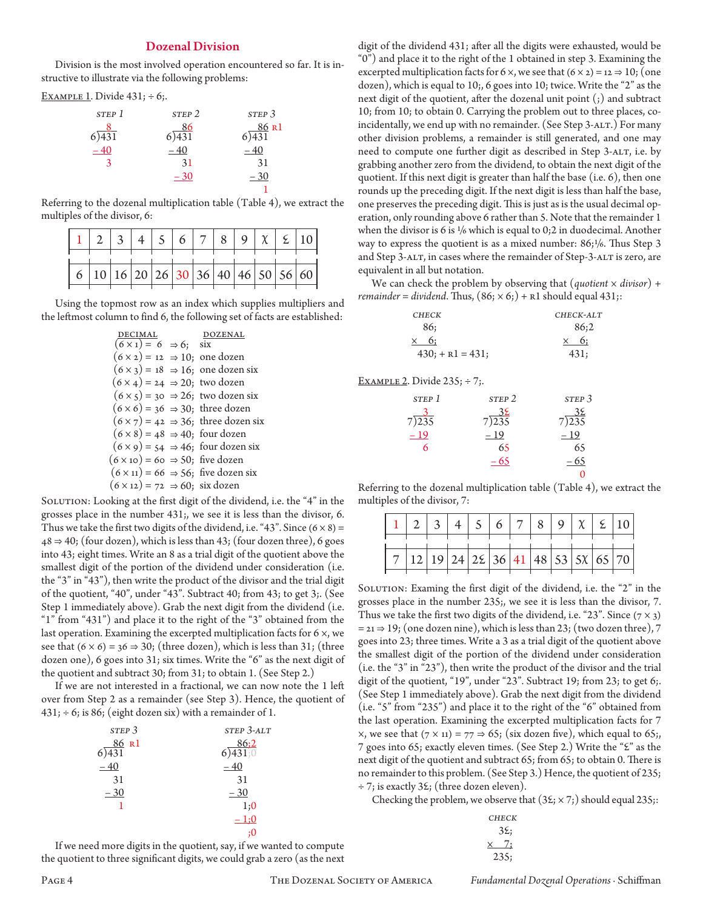#### Dozenal Division

Division is the most involved operation encountered so far. It is instructive to illustrate via the following problems:

EXAMPLE 1. Divide  $431; \div 6;$ .

| STEP 1 | STEP <sub>2</sub> | STEP <sub>3</sub> |
|--------|-------------------|-------------------|
| 6)431  | 86<br>6) 431      | 86 R1<br>431      |
| $-40$  | – 40              |                   |
| 3      | 31                | 31                |
|        | $-30$             | $-30$             |
|        |                   |                   |

Referring to the dozenal multiplication table (Table 4), we extract the multiples of the divisor, 6:

|  |  |  | $1$ 2 3 4 5 6 7 8 9 $\chi$ 2 10    |  |  |
|--|--|--|------------------------------------|--|--|
|  |  |  |                                    |  |  |
|  |  |  | 6 10 16 20 26 30 36 40 46 50 56 60 |  |  |

Using the topmost row as an index which supplies multipliers and the leftmost column to find 6, the following set of facts are established:

|                                                  | ZENAL                                                |
|--------------------------------------------------|------------------------------------------------------|
| $\overline{(6 \times 1)} = 6 \Rightarrow 6;$ six |                                                      |
| $(6 \times 2) = 12 \Rightarrow 10;$ one dozen    |                                                      |
|                                                  | $(6 \times 3) = 18 \Rightarrow 16$ ; one dozen six   |
| $(6 \times 4) = 24 \Rightarrow 20$ ; two dozen   |                                                      |
|                                                  | $(6 \times 5) = 30 \Rightarrow 26$ ; two dozen six   |
| $(6 \times 6) = 36 \Rightarrow 30$ ; three dozen |                                                      |
|                                                  | $(6 \times 7) = 42 \Rightarrow 36$ ; three dozen six |
| $(6 \times 8) = 48 \Rightarrow 40$ ; four dozen  |                                                      |
|                                                  | $(6 \times 9) = 54 \Rightarrow 46$ ; four dozen six  |
| $(6 \times 10) = 60 \Rightarrow 50$ ; five dozen |                                                      |
|                                                  | $(6 \times 11) = 66 \Rightarrow 56$ ; five dozen six |
| $(6 \times 12) = 72 \Rightarrow 60$ ; six dozen  |                                                      |

SOLUTION: Looking at the first digit of the dividend, i.e. the "4" in the grosses place in the number 431;, we see it is less than the divisor, 6. Thus we take the first two digits of the dividend, i.e. "43". Since  $(6 \times 8)$  =  $48 \Rightarrow 40$ ; (four dozen), which is less than 43; (four dozen three), 6 goes into 43; eight times. Write an 8 as a trial digit of the quotient above the smallest digit of the portion of the dividend under consideration (i.e. the "3" in "43"), then write the product of the divisor and the trial digit of the quotient, "40", under "43". Subtract 40; from 43; to get 3;. (See Step 1 immediately above). Grab the next digit from the dividend (i.e. "1" from "431") and place it to the right of the "3" obtained from the last operation. Examining the excerpted multiplication facts for 6 ×, we see that  $(6 \times 6) = 36 \Rightarrow 30$ ; (three dozen), which is less than 31; (three dozen one), 6 goes into 31; six times. Write the "6" as the next digit of the quotient and subtract 30; from 31; to obtain 1. (See Step 2.)

If we are not interested in a fractional, we can now note the 1 left over from Step 2 as a remainder (see Step 3). Hence, the quotient of  $431; \div 6;$  is 86; (eight dozen six) with a remainder of 1.

| STEP <sub>3</sub> | STEP 3-ALT    |
|-------------------|---------------|
| 86 R1<br>431      | 86:2<br>(431) |
| $-40$             | $-40$         |
| 31                | 31            |
| $-30$             | $-30$         |
|                   | 1;0           |
|                   | $-1:0$        |
|                   | :0            |

If we need more digits in the quotient, say, if we wanted to compute the quotient to three significant digits, we could grab a zero (as the next digit of the dividend 431; after all the digits were exhausted, would be "0") and place it to the right of the 1 obtained in step 3. Examining the excerpted multiplication facts for 6  $\times$ , we see that  $(6 \times 2) = 12 \Rightarrow 10$ ; (one dozen), which is equal to 10;, 6 goes into 10; twice. Write the "2" as the next digit of the quotient, after the dozenal unit point (;) and subtract 10; from 10; to obtain 0. Carrying the problem out to three places, coincidentally, we end up with no remainder. (See Step 3-ALT.) For many other division problems, a remainder is still generated, and one may need to compute one further digit as described in Step 3-ALT, i.e. by grabbing another zero from the dividend, to obtain the next digit of the quotient. If this next digit is greater than half the base (i.e. 6), then one rounds up the preceding digit. If the next digit is less than half the base, one preserves the preceding digit. This is just as is the usual decimal operation, only rounding above 6 rather than 5. Note that the remainder 1 when the divisor is 6 is  $\frac{1}{6}$  which is equal to 0;2 in duodecimal. Another way to express the quotient is as a mixed number:  $86;1/6$ . Thus Step 3 and Step 3-ALT, in cases where the remainder of Step-3-ALT is zero, are equivalent in all but notation.

We can check the problem by observing that (*quotient* × *divisor*) + *remainder* = *dividend*. Thus,  $(86; \times 6)$  + R1 should equal 431;:

| <b>CHECK</b>        | CHECK-ALT   |
|---------------------|-------------|
| 86:                 | 86:2        |
| $\times$ 6:         | $\times$ 6: |
| $430$ ; + R1 = 431; | 431:        |

EXAMPLE 2. Divide  $235: \div 7:$ .

| STEP 1 | STEP <sub>2</sub> | STEP <sub>3</sub> |
|--------|-------------------|-------------------|
| 7)235  | 7)235             | 7)235             |
| $-19$  | $-19$             | $-19$             |
| 6      | 65                | 65                |
|        | $-65$             | 65                |
|        |                   |                   |

Referring to the dozenal multiplication table (Table 4), we extract the multiples of the divisor, 7:

|                                                                | $1 \mid 2 \mid 3 \mid 4 \mid 5 \mid 6 \mid 7 \mid 8 \mid 9 \mid \chi \mid 2 \mid 10$ |  |  |  |  |  |
|----------------------------------------------------------------|--------------------------------------------------------------------------------------|--|--|--|--|--|
| $7   12   19   24   25   36   41   48   53   5 \times 65   70$ |                                                                                      |  |  |  |  |  |
|                                                                |                                                                                      |  |  |  |  |  |

SOLUTION: Examing the first digit of the dividend, i.e. the "2" in the grosses place in the number 235;, we see it is less than the divisor, 7. Thus we take the first two digits of the dividend, i.e. "23". Since ( $7 \times 3$ )  $=$  21  $\Rightarrow$  19; (one dozen nine), which is less than 23; (two dozen three), 7 goes into 23; three times. Write a 3 as a trial digit of the quotient above the smallest digit of the portion of the dividend under consideration (i.e. the "3" in "23"), then write the product of the divisor and the trial digit of the quotient, "19", under "23". Subtract 19; from 23; to get 6;. (See Step 1 immediately above). Grab the next digit from the dividend (i.e. "5" from "235") and place it to the right of the "6" obtained from the last operation. Examining the excerpted multiplication facts for 7  $\times$ , we see that (7  $\times$  11) = 77  $\Rightarrow$  65; (six dozen five), which equal to 65; 7 goes into 65; exactly eleven times. (See Step 2.) Write the " $\Sigma$ " as the next digit of the quotient and subtract 65; from 65; to obtain 0. There is no remainder to this problem. (See Step 3.) Hence, the quotient of 235;  $\div$  7; is exactly 3 $\mathcal{E}$ ; (three dozen eleven).

Checking the problem, we observe that  $(3\xi; \times 7)$  should equal 235;:

| <b>CHECK</b>   |
|----------------|
| $3\xi$         |
| 7:<br>$\times$ |
| 235;           |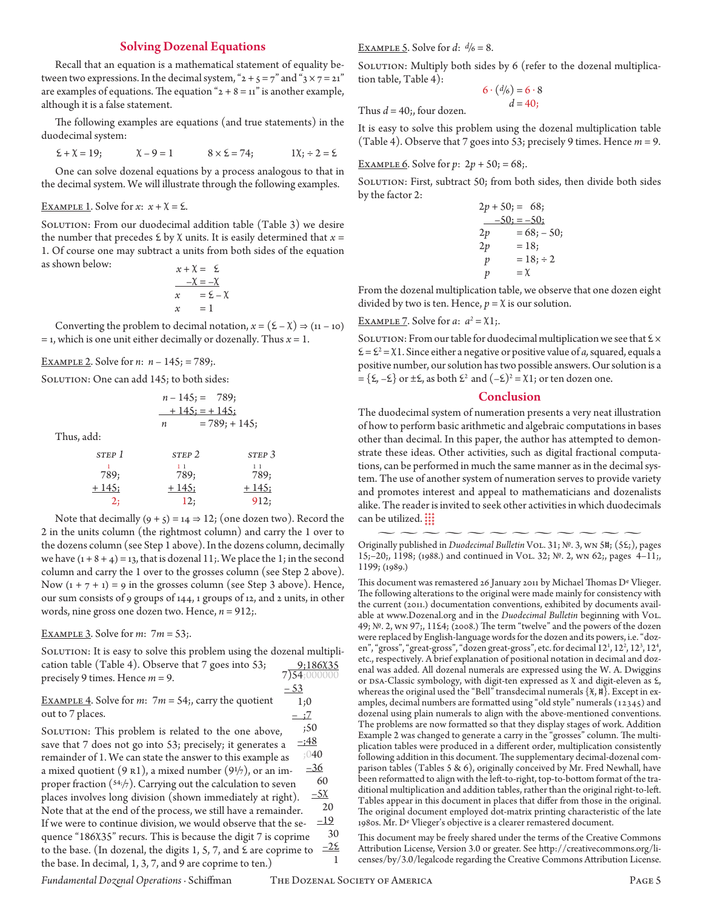#### Solving Dozenal Equations

Recall that an equation is a mathematical statement of equality between two expressions. In the decimal system, " $2 + 5 = 7$ " and " $3 \times 7 = 21$ " are examples of equations. The equation " $2 + 8 = 11$ " is another example, although it is a false statement.

The following examples are equations (and true statements) in the duodecimal system:

$$
\Sigma + \chi = 19;
$$
  $\chi - 9 = 1$   $8 \times \Sigma = 74;$   $1\chi$ ;  $\div 2 = \Sigma$ 

One can solve dozenal equations by a process analogous to that in the decimal system. We will illustrate through the following examples.

### EXAMPLE 1. Solve for  $x: x + \chi = \xi$ .

SOLUTION: From our duodecimal addition table (Table 3) we desire the number that precedes  $\mathcal{E}$  by  $\chi$  units. It is easily determined that  $x =$ 1. Of course one may subtract a units from both sides of the equation as shown below:  $x + \chi = \xi$ 

$$
\begin{array}{rcl}\n & -\chi & = & -\chi \\
\hline\nx & = & \xi - \chi \\
x & = & 1\n\end{array}
$$

Converting the problem to decimal notation,  $x = (\Sigma - \chi) \Rightarrow (11 - 10)$  $=$  1, which is one unit either decimally or dozenally. Thus  $x = 1$ .

Example 2. Solve for *n*: *n* – 145; = 789;.

SOLUTION: One can add 145; to both sides:

$$
n-145 = 789;
$$
  

$$
+145 = 145;
$$
  

$$
n = 789; +145;
$$

Thus, add:

| STEP 1      | STEP 2      | STEP 3      |
|-------------|-------------|-------------|
| 789;        | 789;        | 789;        |
| $\pm 145$ ; | $\pm 145$ ; | $\pm 145$ ; |
| 2;          | 12;         | 912;        |

Note that decimally  $(9 + 5) = 14 \Rightarrow 12$ ; (one dozen two). Record the 2 in the units column (the rightmost column) and carry the 1 over to the dozens column (see Step 1 above). In the dozens column, decimally we have  $(1 + 8 + 4) = 13$ , that is dozenal 11;. We place the 1; in the second column and carry the 1 over to the grosses column (see Step 2 above). Now  $(1 + 7 + 1) = 9$  in the grosses column (see Step 3 above). Hence, our sum consists of 9 groups of 144, 1 groups of 12, and 2 units, in other words, nine gross one dozen two. Hence, *n* = 912;.

Example 3. Solve for *m*: 7*m* = 53;.

SOLUTION: It is easy to solve this problem using the dozenal multiplication table (Table 4). Observe that 7 goes into 53; precisely 9 times. Hence *m* = 9.  $7)$ <sub>54</sub>;000000  $-53$ 

Example 4. Solve for *m*: 7*m* = 54;, carry the quotient out to 7 places.  $=$   $\div 7$ 

SOLUTION: This problem is related to the one above, save that 7 does not go into 53; precisely; it generates a remainder of 1. We can state the answer to this example as a mixed quotient  $(9 \text{ R1})$ , a mixed number  $(9\frac{1}{7})$ , or an improper fraction (54;/7). Carrying out the calculation to seven places involves long division (shown immediately at right). Note that at the end of the process, we still have a remainder. If we were to continue division, we would observe that the sequence "186X35" recurs. This is because the digit 7 is coprime to the base. (In dozenal, the digits  $1, 5, 7$ , and  $\epsilon$  are coprime to the base. In decimal, 1, 3, 7, and 9 are coprime to ten.) ;50  $=$ ;48 ;040  $-36$  60  $-5x$  20  $-19$  30  $-2\epsilon$  EXAMPLE 5. Solve for  $d$ :  $d/6 = 8$ .

SOLUTION: Multiply both sides by 6 (refer to the dozenal multiplication table, Table 4):

$$
6 \cdot \frac{d}{6} = 6 \cdot 8
$$
  
Thus  $d = 40$ ; four dozen.

It is easy to solve this problem using the dozenal multiplication table (Table 4). Observe that 7 goes into 53; precisely 9 times. Hence *m* = 9.

<u>EXAMPLE 6</u>. Solve for  $p: 2p + 50$ ; = 68;.

SOLUTION: First, subtract 50; from both sides, then divide both sides by the factor 2:

|    | $2p + 50 = 68$    |
|----|-------------------|
|    | $-50$ ; = $-50$ ; |
| 2p | $= 68; -50;$      |
| 2p | $= 18$            |
| p  | $= 18; \div 2$    |
| p  | $=\chi$           |

From the dozenal multiplication table, we observe that one dozen eight divided by two is ten. Hence,  $p = \chi$  is our solution.

# EXAMPLE 7. Solve for *a*:  $a^2 = \chi$ 1;.

SOLUTION: From our table for duodecimal multiplication we see that  $\×$  $\mathcal{E} = \mathcal{E}^2 = \chi$ 1. Since either a negative or positive value of *a*, squared, equals a positive number, our solution has two possible answers. Our solution is a  $=\{\xi, -\xi\}$  or  $\pm \xi$ , as both  $\xi^2$  and  $(-\xi)^2 = \chi \mathbb{1}$ ; or ten dozen one.

#### **Conclusion**

The duodecimal system of numeration presents a very neat illustration of how to perform basic arithmetic and algebraic computations in bases other than decimal. In this paper, the author has attempted to demonstrate these ideas. Other activities, such as digital fractional computations, can be performed in much the same manner as in the decimal system. The use of another system of numeration serves to provide variety and promotes interest and appeal to mathematicians and dozenalists alike. The reader is invited to seek other activities in which duodecimals can be utilized.  $\frac{111}{111}$ 

This document was remastered 26 January 2011 by Michael Thomas De Vlieger. The following alterations to the original were made mainly for consistency with the current (2011.) documentation conventions, exhibited by documents available at www.Dozenal.org and in the *Duodecimal Bulletin* beginning with Vol. 49;  $N<sup>0</sup>$ . 2, wn 97;, 11£4; (2008.) The term "twelve" and the powers of the dozen were replaced by English-language words for the dozen and its powers, i.e. "dozen", "gross", "great-gross", "dozen great-gross", etc. for decimal 12<sup>1</sup>, 12<sup>2</sup>, 12<sup>3</sup>, 12<sup>4</sup>, etc., respectively. A brief explanation of positional notation in decimal and dozenal was added. All dozenal numerals are expressed using the W. A. Dwiggins or DSA-Classic symbology, with digit-ten expressed as  $\chi$  and digit-eleven as  $\mathcal{E}$ , whereas the original used the "Bell" transdecimal numerals  $\{\mathcal{X}, \mathfrak{h}\}$ . Except in examples, decimal numbers are formatted using "old style" numerals (12345) and dozenal using plain numerals to align with the above-mentioned conventions. The problems are now formatted so that they display stages of work. Addition Example 2 was changed to generate a carry in the "grosses" column. The multiplication tables were produced in a different order, multiplication consistently following addition in this document. The supplementary decimal-dozenal comparison tables (Tables 5 & 6), originally conceived by Mr. Fred Newhall, have been reformatted to align with the left-to-right, top-to-bottom format of the traditional multiplication and addition tables, rather than the original right-to-left. Tables appear in this document in places that differ from those in the original. The original document employed dot-matrix printing characteristic of the late 1980s. Mr. De Vlieger's objective is a clearer remastered document.

This document may be freely shared under the terms of the Creative Commons Attribution License, Version 3.0 or greater. See http://creativecommons.org/licenses/by/3.0/legalcode regarding the Creative Commons Attribution License.

*Fundamental Dozenal Operations* · Schiffman The Dozenal Society of America Page 5

1

1;0

 $\sim\,\sim\,\sim\,\sim\,\sim\,\sim\,\sim\,\sim\,\sim\,\sim\,\sim$ Originally published in *Duodecimal Bulletin* Vol. 31; №. 3, wn 5b; (5b;), pages 15;–20;, 1198; (1988.) and continued in Vol. 32; №. 2, wn 62;, pages 4–11;, 1199; (1989.)